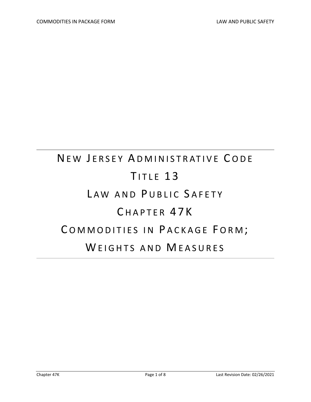# NEW JERSEY ADMINISTRATIVE CODE TITLE 13 LAW AND PUBLIC SAFETY C HAPTER 47K COMMODITIES IN PACKAGE FORM; WEIGHTS AND MEASURES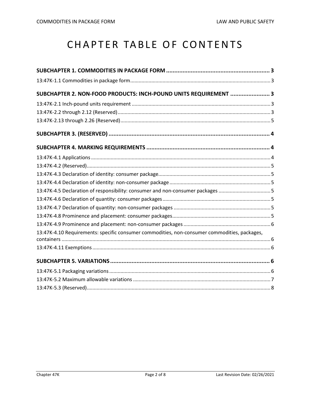# CHAPTER TABLE OF CONTENTS

| SUBCHAPTER 2. NON-FOOD PRODUCTS: INCH-POUND UNITS REQUIREMENT  3                             |  |
|----------------------------------------------------------------------------------------------|--|
|                                                                                              |  |
|                                                                                              |  |
|                                                                                              |  |
|                                                                                              |  |
|                                                                                              |  |
|                                                                                              |  |
|                                                                                              |  |
|                                                                                              |  |
|                                                                                              |  |
| 13:47K-4.5 Declaration of responsibility: consumer and non-consumer packages                 |  |
|                                                                                              |  |
|                                                                                              |  |
|                                                                                              |  |
|                                                                                              |  |
| 13:47K-4.10 Requirements: specific consumer commodities, non-consumer commodities, packages, |  |
|                                                                                              |  |
|                                                                                              |  |
|                                                                                              |  |
|                                                                                              |  |
|                                                                                              |  |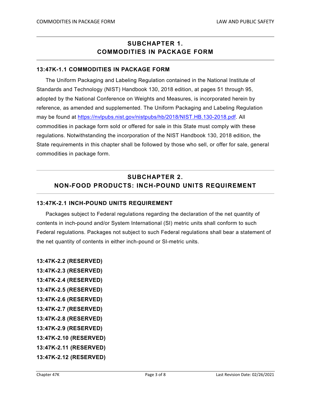# **SUBCHAPTER 1. COMMODITIES IN PACKAGE FORM**

#### **13:47K-1.1 COMMODITIES IN PACKAGE FORM**

The Uniform Packaging and Labeling Regulation contained in the National Institute of Standards and Technology (NIST) Handbook 130, 2018 edition, at pages 51 through 95, adopted by the National Conference on Weights and Measures, is incorporated herein by reference, as amended and supplemented. The Uniform Packaging and Labeling Regulation may be found at [https://nvlpubs.nist.gov/nistpubs/hb/2018/NIST.HB.130-2018.pdf.](https://nvlpubs.nist.gov/nistpubs/hb/2018/NIST.HB.130-2018.pdf) All commodities in package form sold or offered for sale in this State must comply with these regulations. Notwithstanding the incorporation of the NIST Handbook 130, 2018 edition, the State requirements in this chapter shall be followed by those who sell, or offer for sale, general commodities in package form.

# **SUBCHAPTER 2. NON-FOOD PRODUCTS: INCH-POUND UNITS REQUIREMENT**

#### **13:47K-2.1 INCH-POUND UNITS REQUIREMENT**

Packages subject to Federal regulations regarding the declaration of the net quantity of contents in inch-pound and/or System International (SI) metric units shall conform to such Federal regulations. Packages not subject to such Federal regulations shall bear a statement of the net quantity of contents in either inch-pound or SI-metric units.

**13:47K-2.2 (RESERVED) 13:47K-2.3 (RESERVED) 13:47K-2.4 (RESERVED) 13:47K-2.5 (RESERVED) 13:47K-2.6 (RESERVED) 13:47K-2.7 (RESERVED) 13:47K-2.8 (RESERVED) 13:47K-2.9 (RESERVED) 13:47K-2.10 (RESERVED) 13:47K-2.11 (RESERVED) 13:47K-2.12 (RESERVED)**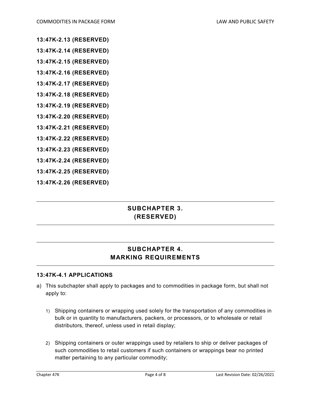- **13:47K-2.13 (RESERVED)**
- **13:47K-2.14 (RESERVED)**
- **13:47K-2.15 (RESERVED)**
- **13:47K-2.16 (RESERVED)**
- **13:47K-2.17 (RESERVED)**
- **13:47K-2.18 (RESERVED)**
- **13:47K-2.19 (RESERVED)**
- **13:47K-2.20 (RESERVED)**
- **13:47K-2.21 (RESERVED)**
- **13:47K-2.22 (RESERVED)**
- **13:47K-2.23 (RESERVED)**
- **13:47K-2.24 (RESERVED)**
- **13:47K-2.25 (RESERVED)**
- **13:47K-2.26 (RESERVED)**

# **SUBCHAPTER 3. (RESERVED)**

### **SUBCHAPTER 4. MARKING REQUIREMENTS**

#### **13:47K-4.1 APPLICATIONS**

- a) This subchapter shall apply to packages and to commodities in package form, but shall not apply to:
	- 1) Shipping containers or wrapping used solely for the transportation of any commodities in bulk or in quantity to manufacturers, packers, or processors, or to wholesale or retail distributors, thereof, unless used in retail display;
	- 2) Shipping containers or outer wrappings used by retailers to ship or deliver packages of such commodities to retail customers if such containers or wrappings bear no printed matter pertaining to any particular commodity;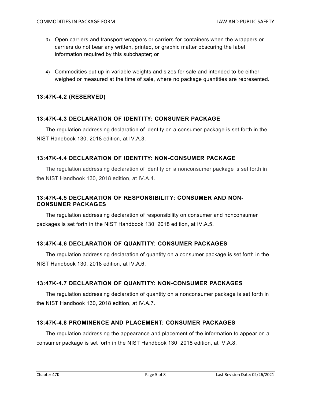- 3) Open carriers and transport wrappers or carriers for containers when the wrappers or carriers do not bear any written, printed, or graphic matter obscuring the label information required by this subchapter; or
- 4) Commodities put up in variable weights and sizes for sale and intended to be either weighed or measured at the time of sale, where no package quantities are represented.

#### **13:47K-4.2 (RESERVED)**

#### **13:47K-4.3 DECLARATION OF IDENTITY: CONSUMER PACKAGE**

The regulation addressing declaration of identity on a consumer package is set forth in the NIST Handbook 130, 2018 edition, at IV.A.3.

#### **13:47K-4.4 DECLARATION OF IDENTITY: NON-CONSUMER PACKAGE**

The regulation addressing declaration of identity on a nonconsumer package is set forth in the NIST Handbook 130, 2018 edition, at IV.A.4.

#### **13:47K-4.5 DECLARATION OF RESPONSIBILITY: CONSUMER AND NON-CONSUMER PACKAGES**

The regulation addressing declaration of responsibility on consumer and nonconsumer packages is set forth in the NIST Handbook 130, 2018 edition, at IV.A.5.

#### **13:47K-4.6 DECLARATION OF QUANTITY: CONSUMER PACKAGES**

The regulation addressing declaration of quantity on a consumer package is set forth in the NIST Handbook 130, 2018 edition, at IV.A.6.

#### **13:47K-4.7 DECLARATION OF QUANTITY: NON-CONSUMER PACKAGES**

The regulation addressing declaration of quantity on a nonconsumer package is set forth in the NIST Handbook 130, 2018 edition, at IV.A.7.

#### **13:47K-4.8 PROMINENCE AND PLACEMENT: CONSUMER PACKAGES**

The regulation addressing the appearance and placement of the information to appear on a consumer package is set forth in the NIST Handbook 130, 2018 edition, at IV.A.8.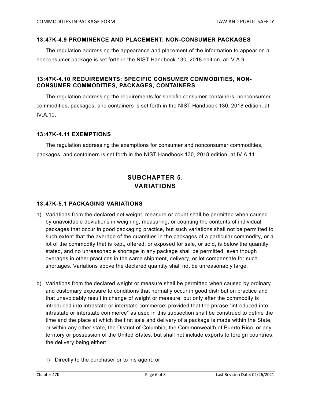#### **13:47K-4.9 PROMINENCE AND PLACEMENT: NON-CONSUMER PACKAGES**

The regulation addressing the appearance and placement of the information to appear on a nonconsumer package is set forth in the NIST Handbook 130, 2018 edition, at IV.A.9.

#### **13:47K-4.10 REQUIREMENTS: SPECIFIC CONSUMER COMMODITIES, NON-CONSUMER COMMODITIES, PACKAGES, CONTAINERS**

The regulation addressing the requirements for specific consumer containers, nonconsumer commodities, packages, and containers is set forth in the NIST Handbook 130, 2018 edition, at IV.A.10.

#### **13:47K-4.11 EXEMPTIONS**

The regulation addressing the exemptions for consumer and nonconsumer commodities, packages, and containers is set forth in the NIST Handbook 130, 2018 edition, at IV.A.11.

# **SUBCHAPTER 5. VARIATIONS**

#### **13:47K-5.1 PACKAGING VARIATIONS**

- a) Variations from the declared net weight, measure or count shall be permitted when caused by unavoidable deviations in weighing, measuring, or counting the contents of individual packages that occur in good packaging practice, but such variations shall not be permitted to such extent that the average of the quantities in the packages of a particular commodity, or a lot of the commodity that is kept, offered, or exposed for sale, or sold, is below the quantity stated, and no unreasonable shortage in any package shall be permitted, even though overages in other practices in the same shipment, delivery, or lot compensate for such shortages. Variations above the declared quantity shall not be unreasonably large.
- b) Variations from the declared weight or measure shall be permitted when caused by ordinary and customary exposure to conditions that normally occur in good distribution practice and that unavoidably result in change of weight or measure, but only after the commodity is introduced into intrastate or interstate commerce; provided that the phrase "introduced into intrastate or interstate commerce" as used in this subsection shall be construed to define the time and the place at which the first sale and delivery of a package is made within the State, or within any other state, the District of Columbia, the Commonwealth of Puerto Rico, or any territory or possession of the United States, but shall not include exports to foreign countries, the delivery being either:
	- 1) Directly to the purchaser or to his agent; or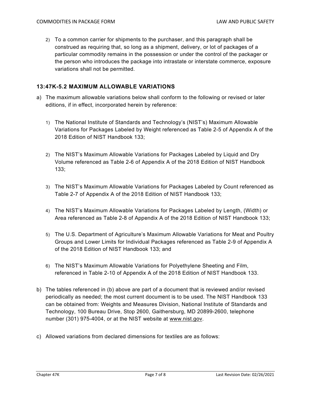2) To a common carrier for shipments to the purchaser, and this paragraph shall be construed as requiring that, so long as a shipment, delivery, or lot of packages of a particular commodity remains in the possession or under the control of the packager or the person who introduces the package into intrastate or interstate commerce, exposure variations shall not be permitted.

#### **13:47K-5.2 MAXIMUM ALLOWABLE VARIATIONS**

- a) The maximum allowable variations below shall conform to the following or revised or later editions, if in effect, incorporated herein by reference:
	- 1) The National Institute of Standards and Technology's (NIST's) Maximum Allowable Variations for Packages Labeled by Weight referenced as Table 2-5 of Appendix A of the 2018 Edition of NIST Handbook 133;
	- 2) The NIST's Maximum Allowable Variations for Packages Labeled by Liquid and Dry Volume referenced as Table 2-6 of Appendix A of the 2018 Edition of NIST Handbook 133;
	- 3) The NIST's Maximum Allowable Variations for Packages Labeled by Count referenced as Table 2-7 of Appendix A of the 2018 Edition of NIST Handbook 133;
	- 4) The NIST's Maximum Allowable Variations for Packages Labeled by Length, (Width) or Area referenced as Table 2-8 of Appendix A of the 2018 Edition of NIST Handbook 133;
	- 5) The U.S. Department of Agriculture's Maximum Allowable Variations for Meat and Poultry Groups and Lower Limits for Individual Packages referenced as Table 2-9 of Appendix A of the 2018 Edition of NIST Handbook 133; and
	- 6) The NIST's Maximum Allowable Variations for Polyethylene Sheeting and Film, referenced in Table 2-10 of Appendix A of the 2018 Edition of NIST Handbook 133.
- b) The tables referenced in (b) above are part of a document that is reviewed and/or revised periodically as needed; the most current document is to be used. The NIST Handbook 133 can be obtained from: Weights and Measures Division, National Institute of Standards and Technology, 100 Bureau Drive, Stop 2600, Gaithersburg, MD 20899-2600, telephone number (301) 975-4004, or at the NIST website at www.nist.gov.
- c) Allowed variations from declared dimensions for textiles are as follows: